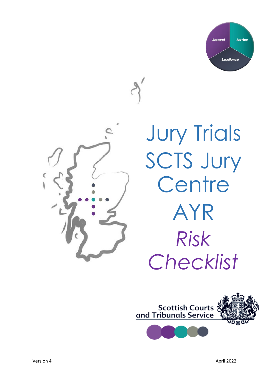



**Jury Trials** SCTS Jury Centre AYR *Risk Checklist*

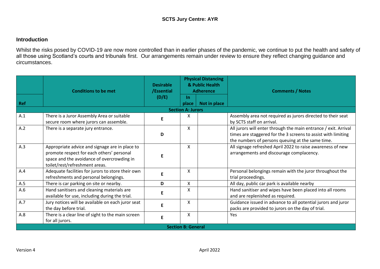## **Introduction**

Whilst the risks posed by COVID-19 are now more controlled than in earlier phases of the pandemic, we continue to put the health and safety of all those using Scotland's courts and tribunals first. Our arrangements remain under review to ensure they reflect changing guidance and circumstances.

| Ref                       | <b>Conditions to be met</b>                                                                                                                                                 | <b>Desirable</b><br>/Essential<br>(D/E) | <b>Physical Distancing</b><br>& Public Health<br><b>Adherence</b><br><b>In</b> |              | <b>Comments / Notes</b>                                                                                                                                                              |  |  |  |
|---------------------------|-----------------------------------------------------------------------------------------------------------------------------------------------------------------------------|-----------------------------------------|--------------------------------------------------------------------------------|--------------|--------------------------------------------------------------------------------------------------------------------------------------------------------------------------------------|--|--|--|
|                           |                                                                                                                                                                             |                                         | place<br><b>Section A: Jurors</b>                                              | Not in place |                                                                                                                                                                                      |  |  |  |
| A.1                       | There is a Juror Assembly Area or suitable<br>secure room where jurors can assemble.                                                                                        | Е                                       | X.                                                                             |              | Assembly area not required as jurors directed to their seat<br>by SCTS staff on arrival.                                                                                             |  |  |  |
| A.2                       | There is a separate jury entrance.                                                                                                                                          | D                                       | X                                                                              |              | All jurors will enter through the main entrance / exit. Arrival<br>times are staggered for the 3 screens to assist with limiting<br>the numbers of persons queuing at the same time. |  |  |  |
| A.3                       | Appropriate advice and signage are in place to<br>promote respect for each others' personal<br>space and the avoidance of overcrowding in<br>toilet/rest/refreshment areas. | Е                                       | X                                                                              |              | All signage refreshed April 2022 to raise awareness of new<br>arrangements and discourage complacency.                                                                               |  |  |  |
| A.4                       | Adequate facilities for jurors to store their own<br>refreshments and personal belongings.                                                                                  | E                                       | X                                                                              |              | Personal belongings remain with the juror throughout the<br>trial proceedings.                                                                                                       |  |  |  |
| A.5                       | There is car parking on site or nearby.                                                                                                                                     | D                                       | X.                                                                             |              | All day, public car park is available nearby                                                                                                                                         |  |  |  |
| A.6                       | Hand sanitisers and cleaning materials are<br>available for use, including during the trial.                                                                                | E                                       | Χ                                                                              |              | Hand sanitiser and wipes have been placed into all rooms<br>and are replenished as required.                                                                                         |  |  |  |
| A.7                       | Jury notices will be available on each juror seat<br>the day before trial.                                                                                                  | E                                       | X                                                                              |              | Guidance issued in advance to all potential jurors and juror<br>packs are provided to jurors on the day of trial.                                                                    |  |  |  |
| A.8                       | There is a clear line of sight to the main screen<br>for all jurors.                                                                                                        | E                                       | X                                                                              |              | Yes                                                                                                                                                                                  |  |  |  |
| <b>Section B: General</b> |                                                                                                                                                                             |                                         |                                                                                |              |                                                                                                                                                                                      |  |  |  |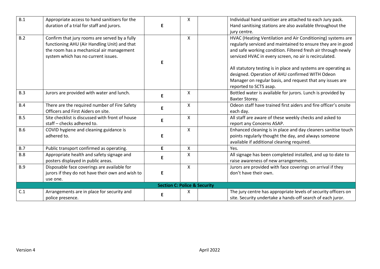| B.1        | Appropriate access to hand sanitisers for the<br>duration of a trial for staff and jurors.                                                                                       | E  | X                                       | Individual hand sanitiser are attached to each Jury pack.<br>Hand sanitising stations are also available throughout the<br>jury centre.                                                                                                               |
|------------|----------------------------------------------------------------------------------------------------------------------------------------------------------------------------------|----|-----------------------------------------|-------------------------------------------------------------------------------------------------------------------------------------------------------------------------------------------------------------------------------------------------------|
| B.2        | Confirm that jury rooms are served by a fully<br>functioning AHU (Air Handling Unit) and that<br>the room has a mechanical air management<br>system which has no current issues. | F  | X                                       | HVAC (Heating Ventilation and Air Conditioning) systems are<br>regularly serviced and maintained to ensure they are in good<br>and safe working condition. Filtered fresh air through newly<br>serviced HVAC in every screen, no air is recirculated. |
|            |                                                                                                                                                                                  |    |                                         | All statutory testing is in place and systems are operating as<br>designed. Operation of AHU confirmed WITH Odeon<br>Manager on regular basis, and request that any issues are<br>reported to SCTS asap.                                              |
| B.3        | Jurors are provided with water and lunch.                                                                                                                                        | E. | X                                       | Bottled water is available for jurors. Lunch is provided by<br>Baxter Storey.                                                                                                                                                                         |
| <b>B.4</b> | There are the required number of Fire Safety<br>Officers and First Aiders on site.                                                                                               | E  | X                                       | Odeon staff have trained first aiders and fire officer's onsite<br>each day.                                                                                                                                                                          |
| B.5        | Site checklist is discussed with front of house<br>staff - checks adhered to.                                                                                                    | E  | X                                       | All staff are aware of these weekly checks and asked to<br>report any Concerns ASAP.                                                                                                                                                                  |
| <b>B.6</b> | COVID hygiene and cleaning guidance is<br>adhered to.                                                                                                                            | E  | X                                       | Enhanced cleaning is in place and day cleaners sanitise touch<br>points regularly thought the day, and always someone<br>available if additional cleaning required.                                                                                   |
| B.7        | Public transport confirmed as operating.                                                                                                                                         | E. | X                                       | Yes.                                                                                                                                                                                                                                                  |
| B.8        | Appropriate health and safety signage and<br>posters displayed in public areas.                                                                                                  | E  | Χ                                       | All signage has been completed installed, and up to date to<br>raise awareness of new arrangements.                                                                                                                                                   |
| <b>B.9</b> | Disposable face coverings are available for<br>jurors if they do not have their own and wish to<br>use one.                                                                      | E  | X                                       | Jurors are provided with face coverings on arrival if they<br>don't have their own.                                                                                                                                                                   |
|            |                                                                                                                                                                                  |    | <b>Section C: Police &amp; Security</b> |                                                                                                                                                                                                                                                       |
| C.1        | Arrangements are in place for security and<br>police presence.                                                                                                                   | Е  | X                                       | The jury centre has appropriate levels of security officers on<br>site. Security undertake a hands-off search of each juror.                                                                                                                          |